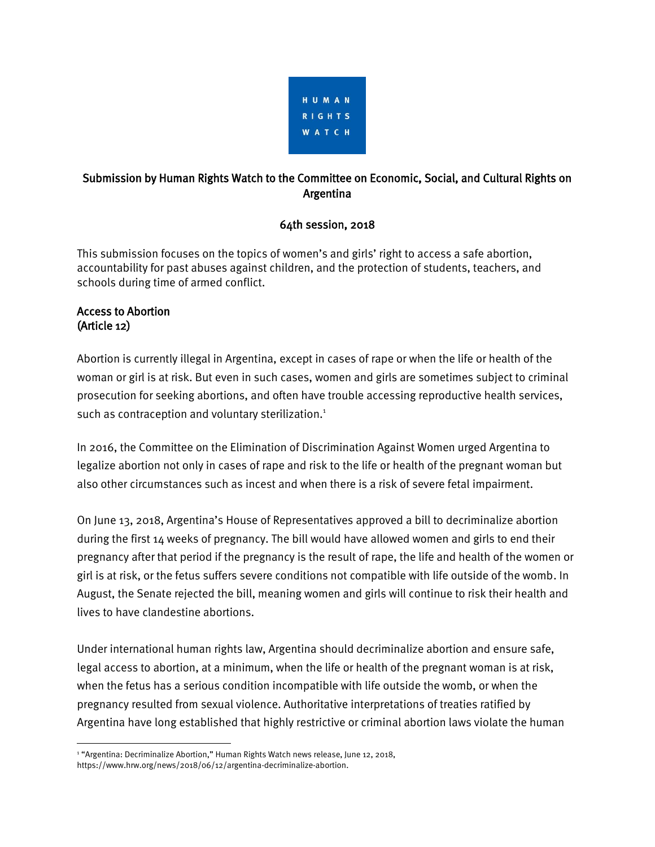

# Submission by Human Rights Watch to the Committee on Economic, Social, and Cultural Rights on Argentina

### 64th session, 2018

This submission focuses on the topics of women's and girls' right to access a safe abortion, accountability for past abuses against children, and the protection of students, teachers, and schools during time of armed conflict.

#### Access to Abortion (Article 12)

 $\overline{\phantom{a}}$ 

Abortion is currently illegal in Argentina, except in cases of rape or when the life or health of the woman or girl is at risk. But even in such cases, women and girls are sometimes subject to criminal prosecution for seeking abortions, and often have trouble accessing reproductive health services, such as contraception and voluntary sterilization.<sup>1</sup>

In 2016, the Committee on the Elimination of Discrimination Against Women urged Argentina to legalize abortion not only in cases of rape and risk to the life or health of the pregnant woman but also other circumstances such as incest and when there is a risk of severe fetal impairment.

On June 13, 2018, Argentina's House of Representatives approved a bill to decriminalize abortion during the first 14 weeks of pregnancy. The bill would have allowed women and girls to end their pregnancy after that period if the pregnancy is the result of rape, the life and health of the women or girl is at risk, or the fetus suffers severe conditions not compatible with life outside of the womb. In August, the Senate rejected the bill, meaning women and girls will continue to risk their health and lives to have clandestine abortions.

Under international human rights law, Argentina should decriminalize abortion and ensure safe, legal access to abortion, at a minimum, when the life or health of the pregnant woman is at risk, when the fetus has a serious condition incompatible with life outside the womb, or when the pregnancy resulted from sexual violence. Authoritative interpretations of treaties ratified by Argentina have long established that highly restrictive or criminal abortion laws violate the human

<sup>&</sup>lt;sup>1</sup> "Argentina: Decriminalize Abortion," Human Rights Watch news release, June 12, 2018, https://www.hrw.org/news/2018/06/12/argentina-decriminalize-abortion.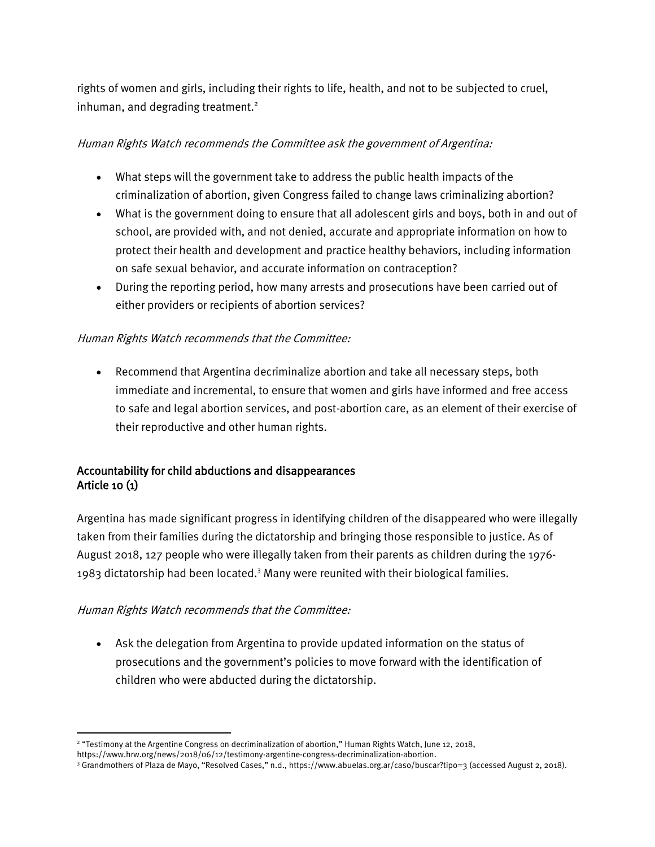rights of women and girls, including their rights to life, health, and not to be subjected to cruel, inhuman, and degrading treatment.<sup>2</sup>

### Human Rights Watch recommends the Committee ask the government of Argentina:

- What steps will the government take to address the public health impacts of the criminalization of abortion, given Congress failed to change laws criminalizing abortion?
- What is the government doing to ensure that all adolescent girls and boys, both in and out of school, are provided with, and not denied, accurate and appropriate information on how to protect their health and development and practice healthy behaviors, including information on safe sexual behavior, and accurate information on contraception?
- During the reporting period, how many arrests and prosecutions have been carried out of either providers or recipients of abortion services?

### Human Rights Watch recommends that the Committee:

• Recommend that Argentina decriminalize abortion and take all necessary steps, both immediate and incremental, to ensure that women and girls have informed and free access to safe and legal abortion services, and post-abortion care, as an element of their exercise of their reproductive and other human rights.

# Accountability for child abductions and disappearances Article 10 (1)

Argentina has made significant progress in identifying children of the disappeared who were illegally taken from their families during the dictatorship and bringing those responsible to justice. As of August 2018, 127 people who were illegally taken from their parents as children during the 1976- 1983 dictatorship had been located.<sup>3</sup> Many were reunited with their biological families.

#### Human Rights Watch recommends that the Committee:

 $\overline{\phantom{a}}$ 

• Ask the delegation from Argentina to provide updated information on the status of prosecutions and the government's policies to move forward with the identification of children who were abducted during the dictatorship.

<sup>2</sup> "Testimony at the Argentine Congress on decriminalization of abortion," Human Rights Watch, June 12, 2018,

https://www.hrw.org/news/2018/06/12/testimony-argentine-congress-decriminalization-abortion.

<sup>3</sup> Grandmothers of Plaza de Mayo, "Resolved Cases," n.d., <https://www.abuelas.org.ar/caso/buscar?tipo=3> (accessed August 2, 2018).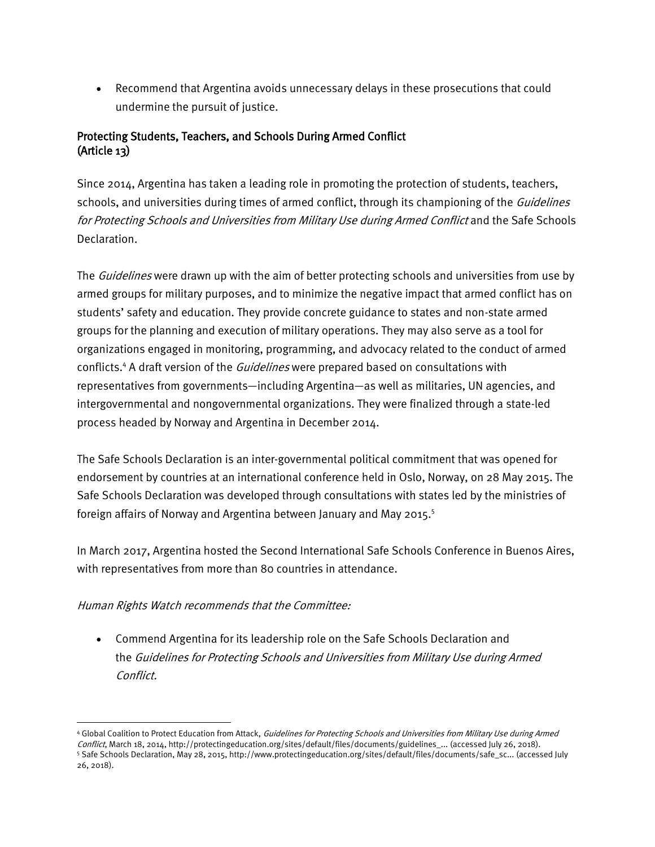• Recommend that Argentina avoids unnecessary delays in these prosecutions that could undermine the pursuit of justice.

## Protecting Students, Teachers, and Schools During Armed Conflict (Article 13)

Since 2014, Argentina has taken a leading role in promoting the protection of students, teachers, schools, and universities during times of armed conflict, through its championing of the *Guidelines* for Protecting Schools and Universities from Military Use during Armed Conflict and the Safe Schools Declaration.

The *Guidelines* were drawn up with the aim of better protecting schools and universities from use by armed groups for military purposes, and to minimize the negative impact that armed conflict has on students' safety and education. They provide concrete guidance to states and non-state armed groups for the planning and execution of military operations. They may also serve as a tool for organizations engaged in monitoring, programming, and advocacy related to the conduct of armed conflicts.<sup>4</sup> A draft version of the *Guidelines* were prepared based on consultations with representatives from governments—including Argentina—as well as militaries, UN agencies, and intergovernmental and nongovernmental organizations. They were finalized through a state-led process headed by Norway and Argentina in December 2014.

The Safe Schools Declaration is an inter-governmental political commitment that was opened for endorsement by countries at an international conference held in Oslo, Norway, on 28 May 2015. The Safe Schools Declaration was developed through consultations with states led by the ministries of foreign affairs of Norway and Argentina between January and May 2015.<sup>5</sup>

In March 2017, Argentina hosted the Second International Safe Schools Conference in Buenos Aires, with representatives from more than 80 countries in attendance.

#### Human Rights Watch recommends that the Committee:

l

• Commend Argentina for its leadership role on the Safe Schools Declaration and the Guidelines for Protecting Schools and Universities from Military Use during Armed Conflict.

<sup>4</sup> Global Coalition to Protect Education from Attack, Guidelines for Protecting Schools and Universities from Military Use during Armed Conflict, March 18, 2014, [http://protectingeducation.org/sites/default/files/documents/guidelines\\_...](http://protectingeducation.org/sites/default/files/documents/guidelines_en.pdf) (accessed July 26, 2018). <sup>5</sup> Safe Schools Declaration, May 28, 2015, [http://www.protectingeducation.org/sites/default/files/documents/safe\\_sc...](http://www.protectingeducation.org/sites/default/files/documents/safe_schools_declaration-final.pdf) (accessed July 26, 2018).